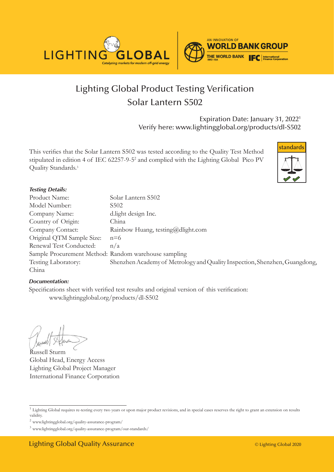



# Lighting Global Product Testing Verification Solar Lantern S502

Expiration Date: January 31, 20221 Verify here: www.lightingglobal.org/products/dl-S502

This verifies that the Solar Lantern S502 was tested according to the Quality Test Method stipulated in edition 4 of IEC 62257-9-5<sup>2</sup> and complied with the Lighting Global Pico PV Quality Standards.<sup>3</sup>



#### *Testing Details:*

| Product Name:                                        | Solar Lantern S502                                                         |
|------------------------------------------------------|----------------------------------------------------------------------------|
| Model Number:                                        | S502                                                                       |
| Company Name:                                        | d.light design Inc.                                                        |
| Country of Origin:                                   | China                                                                      |
| Company Contact:                                     | Rainbow Huang, testing@dlight.com                                          |
| Original QTM Sample Size:                            | $n=6$                                                                      |
| Renewal Test Conducted:                              | n/a                                                                        |
| Sample Procurement Method: Random warehouse sampling |                                                                            |
| Testing Laboratory:                                  | Shenzhen Academy of Metrology and Quality Inspection, Shenzhen, Guangdong, |
| China                                                |                                                                            |

#### *Documentation:*

Specifications sheet with verified test results and original version of this verification: www.lightingglobal.org/products/dl-S502

Russell Sturm Global Head, Energy Access Lighting Global Project Manager International Finance Corporation

<sup>&</sup>lt;sup>1</sup> Lighting Global requires re-testing every two years or upon major product revisions, and in special cases reserves the right to grant an extension on results validity.

 $^2$ www.lightingglobal.org/quality-assurance-program/  $\,$ 

<sup>3</sup> www.lightingglobal.org/quality-assurance-program/our-standards/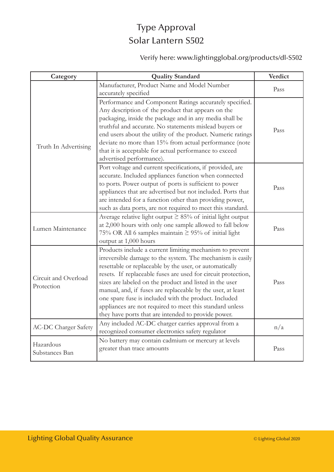## Type Approval Solar Lantern S502

### Verify here: www.lightingglobal.org/products/dl-S502

| Category                           | <b>Quality Standard</b>                                                                                                                                                                                                                                                                                                                                                                                                                                                                                                                                  | Verdict |
|------------------------------------|----------------------------------------------------------------------------------------------------------------------------------------------------------------------------------------------------------------------------------------------------------------------------------------------------------------------------------------------------------------------------------------------------------------------------------------------------------------------------------------------------------------------------------------------------------|---------|
| Truth In Advertising               | Manufacturer, Product Name and Model Number<br>accurately specified                                                                                                                                                                                                                                                                                                                                                                                                                                                                                      | Pass    |
|                                    | Performance and Component Ratings accurately specified.<br>Any description of the product that appears on the<br>packaging, inside the package and in any media shall be<br>truthful and accurate. No statements mislead buyers or<br>end users about the utility of the product. Numeric ratings<br>deviate no more than 15% from actual performance (note<br>that it is acceptable for actual performance to exceed<br>advertised performance).                                                                                                        | Pass    |
|                                    | Port voltage and current specifications, if provided, are<br>accurate. Included appliances function when connected<br>to ports. Power output of ports is sufficient to power<br>appliances that are advertised but not included. Ports that<br>are intended for a function other than providing power,<br>such as data ports, are not required to meet this standard.                                                                                                                                                                                    | Pass    |
| Lumen Maintenance                  | Average relative light output $\geq$ 85% of initial light output<br>at 2,000 hours with only one sample allowed to fall below<br>75% OR All 6 samples maintain $\geq$ 95% of initial light<br>output at 1,000 hours                                                                                                                                                                                                                                                                                                                                      | Pass    |
| Circuit and Overload<br>Protection | Products include a current limiting mechanism to prevent<br>irreversible damage to the system. The mechanism is easily<br>resettable or replaceable by the user, or automatically<br>resets. If replaceable fuses are used for circuit protection,<br>sizes are labeled on the product and listed in the user<br>manual, and, if fuses are replaceable by the user, at least<br>one spare fuse is included with the product. Included<br>appliances are not required to meet this standard unless<br>they have ports that are intended to provide power. | Pass    |
| <b>AC-DC Charger Safety</b>        | Any included AC-DC charger carries approval from a<br>recognized consumer electronics safety regulator                                                                                                                                                                                                                                                                                                                                                                                                                                                   | n/a     |
| Hazardous<br>Substances Ban        | No battery may contain cadmium or mercury at levels<br>greater than trace amounts                                                                                                                                                                                                                                                                                                                                                                                                                                                                        | Pass    |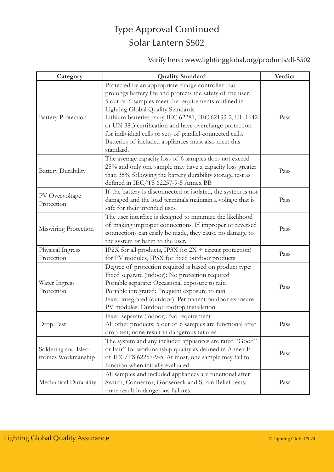## Type Approval Continued Solar Lantern S502

### Verify here: www.lightingglobal.org/products/dl-S502

| Category                                   | <b>Quality Standard</b>                                                                                                                                                                                                                                                                                                                                                                                                                                                | Verdict |
|--------------------------------------------|------------------------------------------------------------------------------------------------------------------------------------------------------------------------------------------------------------------------------------------------------------------------------------------------------------------------------------------------------------------------------------------------------------------------------------------------------------------------|---------|
| <b>Battery Protection</b>                  | Protected by an appropriate charge controller that<br>prolongs battery life and protects the safety of the user.<br>5 out of 6 samples meet the requirements outlined in<br>Lighting Global Quality Standards.<br>Lithium batteries carry IEC 62281, IEC 62133-2, UL 1642<br>or UN 38.3 certification and have overcharge protection<br>for individual cells or sets of parallel-connected cells.<br>Batteries of included appliances must also meet this<br>standard. | Pass    |
| <b>Battery Durability</b>                  | The average capacity loss of 6 samples does not exceed<br>25% and only one sample may have a capacity loss greater<br>than 35% following the battery durability storage test as<br>defined in IEC/TS 62257-9-5 Annex BB                                                                                                                                                                                                                                                | Pass    |
| PV Overvoltage<br>Protection               | If the battery is disconnected or isolated, the system is not<br>damaged and the load terminals maintain a voltage that is<br>safe for their intended uses.                                                                                                                                                                                                                                                                                                            | Pass    |
| Miswiring Protection                       | The user interface is designed to minimize the likelihood<br>of making improper connections. If improper or reversed<br>connections can easily be made, they cause no damage to<br>the system or harm to the user.                                                                                                                                                                                                                                                     | Pass    |
| Physical Ingress<br>Protection             | IP2X for all products, IP3X (or $2X +$ circuit protection)<br>for PV modules, IP5X for fixed outdoor products                                                                                                                                                                                                                                                                                                                                                          | Pass    |
| Water Ingress<br>Protection                | Degree of protection required is based on product type:<br>Fixed separate (indoor): No protection required<br>Portable separate: Occasional exposure to rain<br>Portable integrated: Frequent exposure to rain<br>Fixed integrated (outdoor): Permanent outdoor exposure<br>PV modules: Outdoor rooftop installation                                                                                                                                                   | Pass    |
| Drop Test                                  | Fixed separate (indoor): No requirement<br>All other products: 5 out of 6 samples are functional after<br>drop test; none result in dangerous failures.                                                                                                                                                                                                                                                                                                                | Pass    |
| Soldering and Elec-<br>tronics Workmanship | The system and any included appliances are rated "Good"<br>or Fair" for workmanship quality as defined in Annex F<br>of IEC/TS 62257-9-5. At most, one sample may fail to<br>function when initially evaluated.                                                                                                                                                                                                                                                        | Pass    |
| Mechanical Durability                      | All samples and included appliances are functional after<br>Switch, Connector, Gooseneck and Strain Relief tests;<br>none result in dangerous failures.                                                                                                                                                                                                                                                                                                                | Pass    |